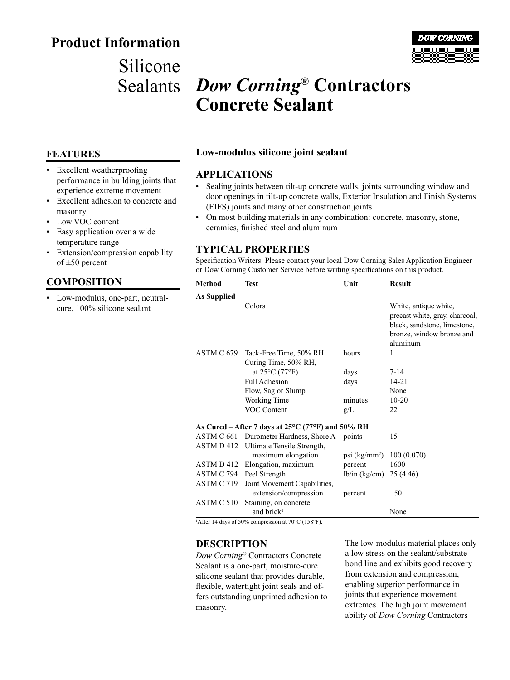## **Product Information**

## Silicone Sealants

# *Dow Corning***® Contractors Concrete Sealant**

#### **FEATURES**

- Excellent weatherproofing performance in building joints that experience extreme movement
- Excellent adhesion to concrete and masonry
- Low VOC content
- Easy application over a wide temperature range
- Extension/compression capability of  $\pm 50$  percent

#### **COMPOSITION**

Low-modulus, one-part, neutralcure, 100% silicone sealant

#### **Low-modulus silicone joint sealant**

#### **APPLICATIONS**

- Sealing joints between tilt-up concrete walls, joints surrounding window and door openings in tilt-up concrete walls, Exterior Insulation and Finish Systems (EIFS) joints and many other construction joints
- On most building materials in any combination: concrete, masonry, stone, ceramics, finished steel and aluminum

#### **TYPICAL PROPERTIES**

Specification Writers: Please contact your local Dow Corning Sales Application Engineer or Dow Corning Customer Service before writing specifications on this product.

| Method                                                      | <b>Test</b>                         | Unit                        | <b>Result</b>                                                                                                                    |
|-------------------------------------------------------------|-------------------------------------|-----------------------------|----------------------------------------------------------------------------------------------------------------------------------|
| <b>As Supplied</b>                                          |                                     |                             |                                                                                                                                  |
|                                                             | Colors                              |                             | White, antique white,<br>precast white, gray, charcoal,<br>black, sandstone, limestone,<br>bronze, window bronze and<br>aluminum |
|                                                             | ASTM C 679 Tack-Free Time, 50% RH   | hours                       | 1                                                                                                                                |
|                                                             | Curing Time, 50% RH,                |                             |                                                                                                                                  |
|                                                             | at $25^{\circ}$ C (77 $^{\circ}$ F) | days                        | $7 - 14$                                                                                                                         |
|                                                             | Full Adhesion                       | days                        | $14 - 21$                                                                                                                        |
|                                                             | Flow, Sag or Slump                  |                             | None                                                                                                                             |
|                                                             | Working Time                        | minutes                     | $10 - 20$                                                                                                                        |
|                                                             | VOC Content                         | g/L                         | 22                                                                                                                               |
| As Cured – After 7 days at $25^{\circ}$ C (77°F) and 50% RH |                                     |                             |                                                                                                                                  |
| ASTM C 661                                                  | Durometer Hardness, Shore A         | points                      | 15                                                                                                                               |
| ASTM D 412                                                  | Ultimate Tensile Strength,          |                             |                                                                                                                                  |
|                                                             | maximum elongation                  | $psi$ (kg/mm <sup>2</sup> ) | 100(0.070)                                                                                                                       |
| ASTM D 412                                                  | Elongation, maximum                 | percent                     | 1600                                                                                                                             |
| ASTM C 794                                                  | Peel Strength                       | lb/in (kg/cm)               | 25(4.46)                                                                                                                         |
| ASTM C 719                                                  | Joint Movement Capabilities,        |                             |                                                                                                                                  |
|                                                             | extension/compression               | percent                     | $\pm 50$                                                                                                                         |
| ASTM C 510                                                  | Staining, on concrete               |                             |                                                                                                                                  |
|                                                             | and brick <sup>1</sup>              |                             | None                                                                                                                             |

<sup>1</sup>After 14 days of 50% compression at 70°C (158°F).

#### **DESCRIPTION**

*Dow Corning®* Contractors Concrete Sealant is a one-part, moisture-cure silicone sealant that provides durable, flexible, watertight joint seals and offers outstanding unprimed adhesion to masonry.

The low-modulus material places only a low stress on the sealant/substrate bond line and exhibits good recovery from extension and compression, enabling superior performance in joints that experience movement extremes. The high joint movement ability of *Dow Corning* Contractors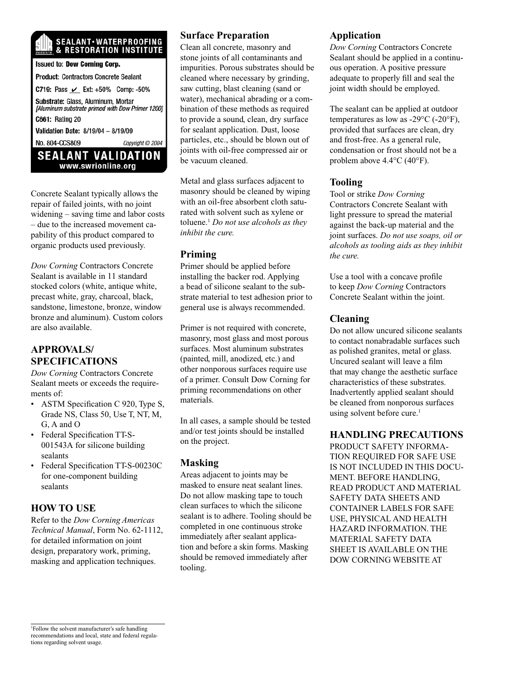# **SEALANT·WATERPROOFING**<br>& RESTORATION INSTITUTE

**Issued to: Dow Corning Corp. Product: Contractors Concrete Sealant** C719: Pass ∠ Ext: +50% Comp: -50% Substrate: Glass, Aluminum, Mortar [Aluminum substrate primed with Dow Primer 1200] **C661: Rating 20** Validation Date: 8/19/04 - 8/19/09 No. 804-CCS809 Copyright @ 2004 **SEALANT VALIDATION** www.swrionline.org

Concrete Sealant typically allows the repair of failed joints, with no joint widening – saving time and labor costs – due to the increased movement capability of this product compared to organic products used previously.

*Dow Corning* Contractors Concrete Sealant is available in 11 standard stocked colors (white, antique white, precast white, gray, charcoal, black, sandstone, limestone, bronze, window bronze and aluminum). Custom colors are also available.

## **APPROVALS/ SPECIFICATIONS**

*Dow Corning* Contractors Concrete Sealant meets or exceeds the requirements of:

- ASTM Specification C 920, Type S, Grade NS, Class 50, Use T, NT, M, G, A and O
- Federal Specification TT-S-001543A for silicone building sealants
- Federal Specification TT-S-00230C for one-component building sealants

### **HOW TO USE**

Refer to the *Dow Corning Americas Technical Manual*, Form No. 62-1112, for detailed information on joint design, preparatory work, priming, masking and application techniques.

## **Surface Preparation**

Clean all concrete, masonry and stone joints of all contaminants and impurities. Porous substrates should be cleaned where necessary by grinding, saw cutting, blast cleaning (sand or water), mechanical abrading or a combination of these methods as required to provide a sound, clean, dry surface for sealant application. Dust, loose particles, etc., should be blown out of joints with oil-free compressed air or be vacuum cleaned.

Metal and glass surfaces adjacent to masonry should be cleaned by wiping with an oil-free absorbent cloth saturated with solvent such as xylene or toluene.1 *Do not use alcohols as they inhibit the cure.*

#### **Priming**

Primer should be applied before installing the backer rod. Applying a bead of silicone sealant to the substrate material to test adhesion prior to general use is always recommended.

Primer is not required with concrete, masonry, most glass and most porous surfaces. Most aluminum substrates (painted, mill, anodized, etc.) and other nonporous surfaces require use of a primer. Consult Dow Corning for priming recommendations on other materials.

In all cases, a sample should be tested and/or test joints should be installed on the project.

### **Masking**

Areas adjacent to joints may be masked to ensure neat sealant lines. Do not allow masking tape to touch clean surfaces to which the silicone sealant is to adhere. Tooling should be completed in one continuous stroke immediately after sealant application and before a skin forms. Masking should be removed immediately after tooling.

#### **Application**

*Dow Corning* Contractors Concrete Sealant should be applied in a continuous operation. A positive pressure adequate to properly fill and seal the joint width should be employed.

The sealant can be applied at outdoor temperatures as low as  $-29^{\circ}$ C ( $-20^{\circ}$ F), provided that surfaces are clean, dry and frost-free. As a general rule, condensation or frost should not be a problem above 4.4°C (40°F).

#### **Tooling**

Tool or strike *Dow Corning* Contractors Concrete Sealant with light pressure to spread the material against the back-up material and the joint surfaces. *Do not use soaps, oil or alcohols as tooling aids as they inhibit the cure.*

Use a tool with a concave profile to keep *Dow Corning* Contractors Concrete Sealant within the joint.

## **Cleaning**

Do not allow uncured silicone sealants to contact nonabradable surfaces such as polished granites, metal or glass. Uncured sealant will leave a film that may change the aesthetic surface characteristics of these substrates. Inadvertently applied sealant should be cleaned from nonporous surfaces using solvent before cure.<sup>1</sup>

## **HANDLING PRECAUTIONS**

PRODUCT SAFETY INFORMA-TION REQUIRED FOR SAFE USE IS NOT INCLUDED IN THIS DOCU-MENT. BEFORE HANDLING, READ PRODUCT AND MATERIAL SAFETY DATA SHEETS AND CONTAINER LABELS FOR SAFE USE, PHYSICAL AND HEALTH HAZARD INFORMATION. THE MATERIAL SAFETY DATA SHEET IS AVAILABLE ON THE DOW CORNING WEBSITE AT

1 Follow the solvent manufacturer's safe handling recommendations and local, state and federal regulations regarding solvent usage.